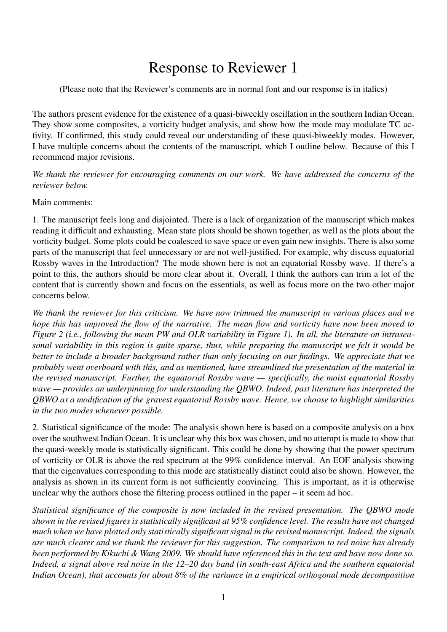## Response to Reviewer 1

(Please note that the Reviewer's comments are in normal font and our response is in italics)

The authors present evidence for the existence of a quasi-biweekly oscillation in the southern Indian Ocean. They show some composites, a vorticity budget analysis, and show how the mode may modulate TC activity. If confirmed, this study could reveal our understanding of these quasi-biweekly modes. However, I have multiple concerns about the contents of the manuscript, which I outline below. Because of this I recommend major revisions.

*We thank the reviewer for encouraging comments on our work. We have addressed the concerns of the reviewer below.*

Main comments:

1. The manuscript feels long and disjointed. There is a lack of organization of the manuscript which makes reading it difficult and exhausting. Mean state plots should be shown together, as well as the plots about the vorticity budget. Some plots could be coalesced to save space or even gain new insights. There is also some parts of the manuscript that feel unnecessary or are not well-justified. For example, why discuss equatorial Rossby waves in the Introduction? The mode shown here is not an equatorial Rossby wave. If there's a point to this, the authors should be more clear about it. Overall, I think the authors can trim a lot of the content that is currently shown and focus on the essentials, as well as focus more on the two other major concerns below.

*We thank the reviewer for this criticism. We have now trimmed the manuscript in various places and we hope this has improved the flow of the narrative. The mean flow and vorticity have now been moved to Figure 2 (i.e., following the mean PW and OLR variability in Figure 1). In all, the literature on intraseasonal variability in this region is quite sparse, thus, while preparing the manuscript we felt it would be better to include a broader background rather than only focusing on our findings. We appreciate that we probably went overboard with this, and as mentioned, have streamlined the presentation of the material in the revised manuscript. Further, the equatorial Rossby wave — specifically, the moist equatorial Rossby wave — provides an underpinning for understanding the QBWO. Indeed, past literature has interpreted the QBWO as a modification of the gravest equatorial Rossby wave. Hence, we choose to highlight similarities in the two modes whenever possible.*

2. Statistical significance of the mode: The analysis shown here is based on a composite analysis on a box over the southwest Indian Ocean. It is unclear why this box was chosen, and no attempt is made to show that the quasi-weekly mode is statistically significant. This could be done by showing that the power spectrum of vorticity or OLR is above the red spectrum at the 99% confidence interval. An EOF analysis showing that the eigenvalues corresponding to this mode are statistically distinct could also be shown. However, the analysis as shown in its current form is not sufficiently convincing. This is important, as it is otherwise unclear why the authors chose the filtering process outlined in the paper – it seem ad hoc.

*Statistical significance of the composite is now included in the revised presentation. The QBWO mode shown in the revised figures is statistically significant at 95% confidence level. The results have not changed much when we have plotted only statistically significant signal in the revised manuscript. Indeed, the signals are much clearer and we thank the reviewer for this suggestion. The comparison to red noise has already been performed by Kikuchi & Wang 2009. We should have referenced this in the text and have now done so. Indeed, a signal above red noise in the 12–20 day band (in south-east Africa and the southern equatorial Indian Ocean), that accounts for about 8% of the variance in a empirical orthogonal mode decomposition*